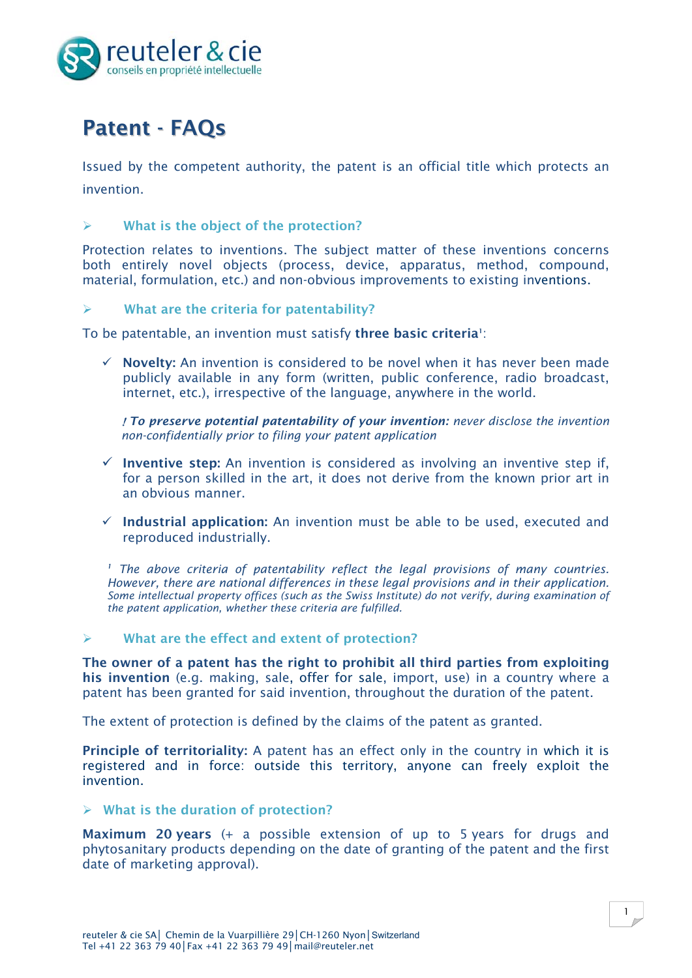

# Patent - FAQs

Issued by the competent authority, the patent is an official title which protects an invention.

# $\triangleright$  What is the object of the protection?

Protection relates to inventions. The subject matter of these inventions concerns both entirely novel objects (process, device, apparatus, method, compound, material, formulation, etc.) and non-obvious improvements to existing inventions.

# $\triangleright$  What are the criteria for patentability?

To be patentable, an invention must satisfy three basic criteria<sup>1</sup>:

 Novelty: An invention is considered to be novel when it has never been made publicly available in any form (written, public conference, radio broadcast, internet, etc.), irrespective of the language, anywhere in the world.

 *To preserve potential patentability of your invention: never disclose the invention non-confidentially prior to filing your patent application* 

- $\checkmark$  Inventive step: An invention is considered as involving an inventive step if, for a person skilled in the art, it does not derive from the known prior art in an obvious manner.
- $\checkmark$  Industrial application: An invention must be able to be used, executed and reproduced industrially.

*<sup>1</sup> The above criteria of patentability reflect the legal provisions of many countries. However, there are national differences in these legal provisions and in their application. Some intellectual property offices (such as the Swiss Institute) do not verify, during examination of the patent application, whether these criteria are fulfilled.*

# $\triangleright$  What are the effect and extent of protection?

The owner of a patent has the right to prohibit all third parties from exploiting his invention (e.g. making, sale, offer for sale, import, use) in a country where a patent has been granted for said invention, throughout the duration of the patent.

The extent of protection is defined by the claims of the patent as granted.

Principle of territoriality: A patent has an effect only in the country in which it is registered and in force: outside this territory, anyone can freely exploit the invention.

#### $\triangleright$  What is the duration of protection?

Maximum 20 years (+ a possible extension of up to 5 years for drugs and phytosanitary products depending on the date of granting of the patent and the first date of marketing approval).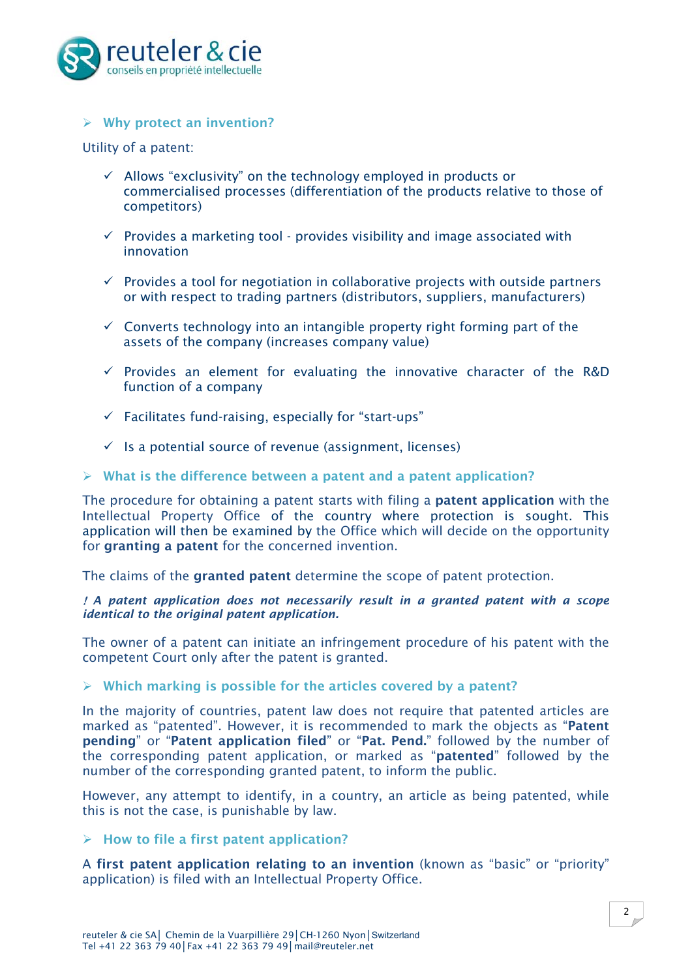

# $\triangleright$  Why protect an invention?

Utility of a patent:

- $\checkmark$  Allows "exclusivity" on the technology employed in products or commercialised processes (differentiation of the products relative to those of competitors)
- $\checkmark$  Provides a marketing tool provides visibility and image associated with innovation
- $\checkmark$  Provides a tool for negotiation in collaborative projects with outside partners or with respect to trading partners (distributors, suppliers, manufacturers)
- $\checkmark$  Converts technology into an intangible property right forming part of the assets of the company (increases company value)
- $\checkmark$  Provides an element for evaluating the innovative character of the R&D function of a company
- $\checkmark$  Facilitates fund-raising, especially for "start-ups"
- $\checkmark$  Is a potential source of revenue (assignment, licenses)

#### $\triangleright$  What is the difference between a patent and a patent application?

The procedure for obtaining a patent starts with filing a patent application with the Intellectual Property Office of the country where protection is sought. This application will then be examined by the Office which will decide on the opportunity for granting a patent for the concerned invention.

The claims of the granted patent determine the scope of patent protection.

 *A patent application does not necessarily result in a granted patent with a scope identical to the original patent application.*

The owner of a patent can initiate an infringement procedure of his patent with the competent Court only after the patent is granted.

#### $\triangleright$  Which marking is possible for the articles covered by a patent?

In the majority of countries, patent law does not require that patented articles are marked as "patented". However, it is recommended to mark the objects as "Patent pending" or "Patent application filed" or "Pat. Pend." followed by the number of the corresponding patent application, or marked as "patented" followed by the number of the corresponding granted patent, to inform the public.

However, any attempt to identify, in a country, an article as being patented, while this is not the case, is punishable by law.

# $\triangleright$  How to file a first patent application?

A first patent application relating to an invention (known as "basic" or "priority" application) is filed with an Intellectual Property Office.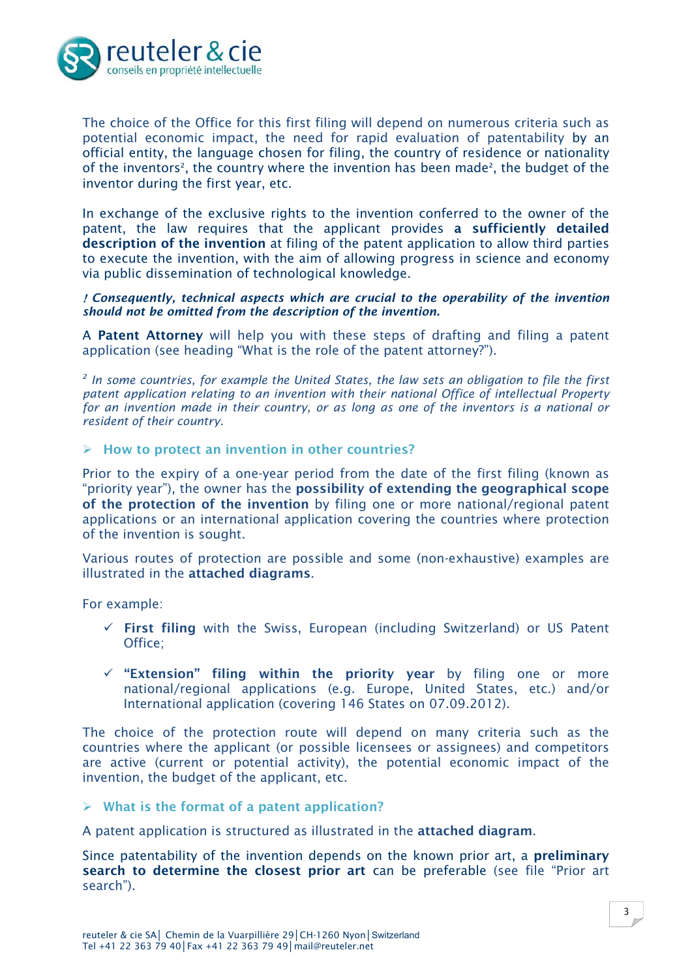

The choice of the Office for this first filing will depend on numerous criteria such as potential economic impact, the need for rapid evaluation of patentability by an official entity, the language chosen for filing, the country of residence or nationality of the inventors<sup>2</sup>, the country where the invention has been made<sup>2</sup>, the budget of the inventor during the first year, etc.

In exchange of the exclusive rights to the invention conferred to the owner of the patent, the law requires that the applicant provides a sufficiently detailed description of the invention at filing of the patent application to allow third parties to execute the invention, with the aim of allowing progress in science and economy via public dissemination of technological knowledge.

 *Consequently, technical aspects which are crucial to the operability of the invention should not be omitted from the description of the invention.* 

A **Patent Attorney** will help you with these steps of drafting and filing a patent application (see heading "What is the role of the patent attorney?").

*<sup>2</sup> In some countries, for example the United States, the law sets an obligation to file the first patent application relating to an invention with their national Office of intellectual Property for an invention made in their country, or as long as one of the inventors is a national or resident of their country.*

 $\triangleright$  How to protect an invention in other countries?

Prior to the expiry of a one-year period from the date of the first filing (known as "priority year"), the owner has the possibility of extending the geographical scope of the protection of the invention by filing one or more national/regional patent applications or an international application covering the countries where protection of the invention is sought.

Various routes of protection are possible and some (non-exhaustive) examples are illustrated in the attached diagrams.

For example:

- $\checkmark$  First filing with the Swiss, European (including Switzerland) or US Patent Office;
- $\checkmark$  "Extension" filing within the priority year by filing one or more national/regional applications (e.g. Europe, United States, etc.) and/or International application (covering 146 States on 07.09.2012).

The choice of the protection route will depend on many criteria such as the countries where the applicant (or possible licensees or assignees) and competitors are active (current or potential activity), the potential economic impact of the invention, the budget of the applicant, etc.

#### $\triangleright$  What is the format of a patent application?

A patent application is structured as illustrated in the attached diagram.

Since patentability of the invention depends on the known prior art, a **preliminary** search to determine the closest prior art can be preferable (see file "Prior art search").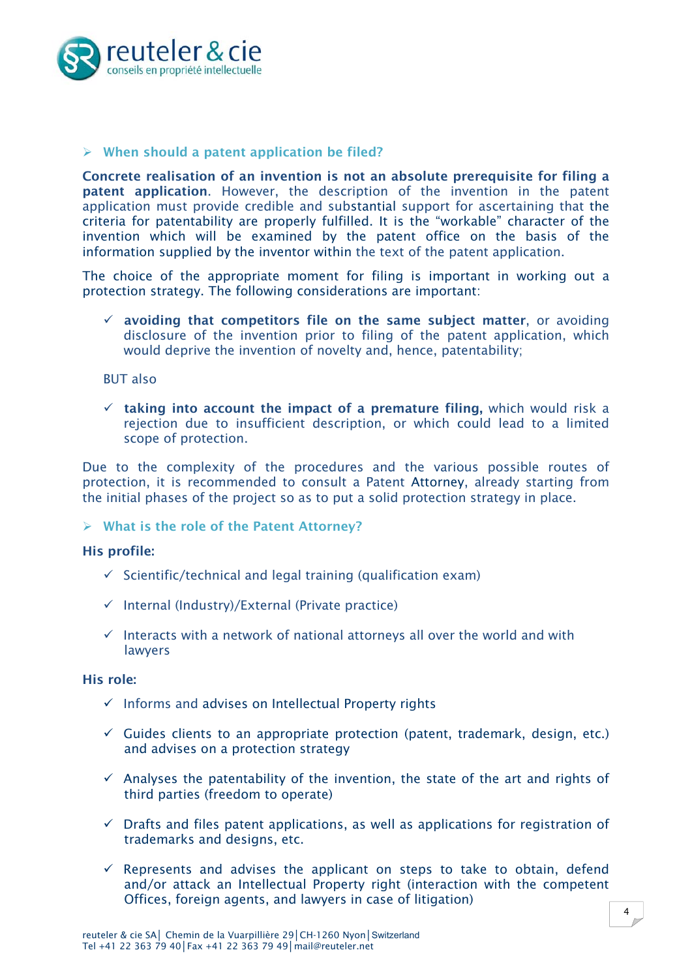

# $\triangleright$  When should a patent application be filed?

Concrete realisation of an invention is not an absolute prerequisite for filing a patent application. However, the description of the invention in the patent application must provide credible and substantial support for ascertaining that the criteria for patentability are properly fulfilled. It is the "workable" character of the invention which will be examined by the patent office on the basis of the information supplied by the inventor within the text of the patent application.

The choice of the appropriate moment for filing is important in working out a protection strategy. The following considerations are important:

 $\checkmark$  avoiding that competitors file on the same subject matter, or avoiding disclosure of the invention prior to filing of the patent application, which would deprive the invention of novelty and, hence, patentability;

BUT also

 $\checkmark$  taking into account the impact of a premature filing, which would risk a rejection due to insufficient description, or which could lead to a limited scope of protection.

Due to the complexity of the procedures and the various possible routes of protection, it is recommended to consult a Patent Attorney, already starting from the initial phases of the project so as to put a solid protection strategy in place.

 $\triangleright$  What is the role of the Patent Attorney?

#### His profile:

- $\checkmark$  Scientific/technical and legal training (qualification exam)
- $\checkmark$  Internal (Industry)/External (Private practice)
- $\checkmark$  Interacts with a network of national attorneys all over the world and with lawyers

#### His role:

- $\checkmark$  Informs and advises on Intellectual Property rights
- $\checkmark$  Guides clients to an appropriate protection (patent, trademark, design, etc.) and advises on a protection strategy
- $\checkmark$  Analyses the patentability of the invention, the state of the art and rights of third parties (freedom to operate)
- $\checkmark$  Drafts and files patent applications, as well as applications for registration of trademarks and designs, etc.
- $\checkmark$  Represents and advises the applicant on steps to take to obtain, defend and/or attack an Intellectual Property right (interaction with the competent Offices, foreign agents, and lawyers in case of litigation)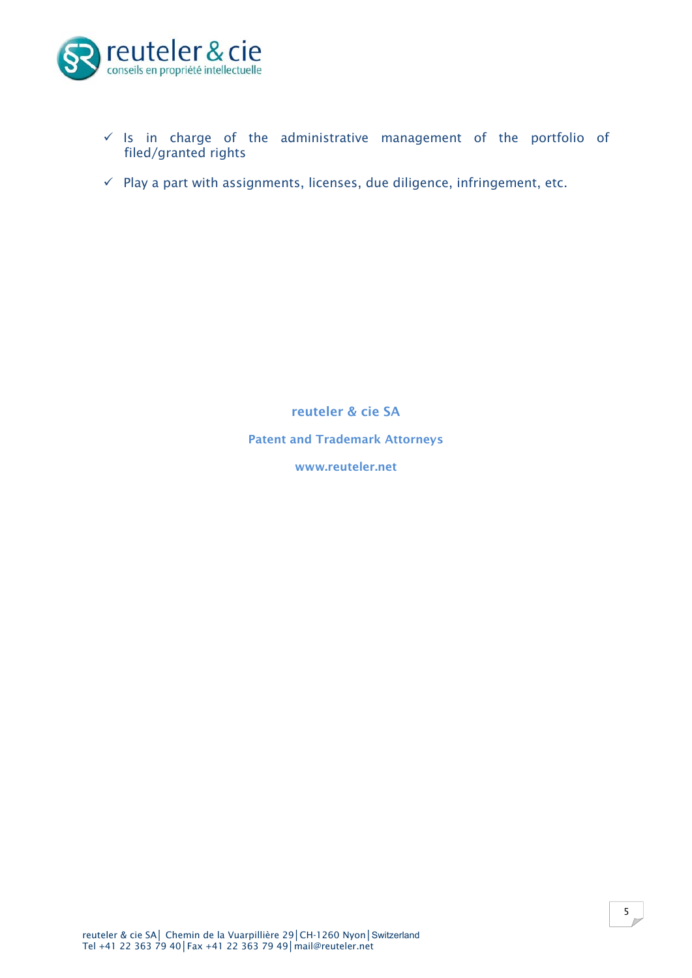

- $\checkmark$  Is in charge of the administrative management of the portfolio of filed/granted rights
- $\checkmark$  Play a part with assignments, licenses, due diligence, infringement, etc.

reuteler & cie SA Patent and Trademark Attorneys

www.reuteler.net